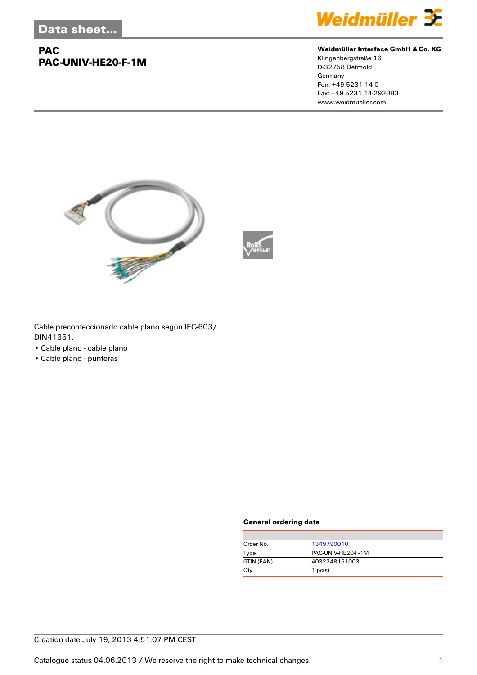## **PAC PAC-UNIV-HE20-F-1M**



#### **Weidmüller Interface GmbH & Co. KG**

Klingenbergstraße 16 D-32758 Detmold Germany Fon: +49 5231 14-0 Fax: +49 5231 14-292083 www.weidmueller.com





Cable preconfeccionado cable plano según IEC-603/ DIN41651.

- Cable plano cable plano
- Cable plano punteras

#### **General ordering data**

| Order No.  | 1349790010         |
|------------|--------------------|
| Type       | PAC-UNIV-HE20-F-1M |
| GTIN (EAN) | 4032248161003      |
| Qty.       | 1 $pc(s)$ .        |